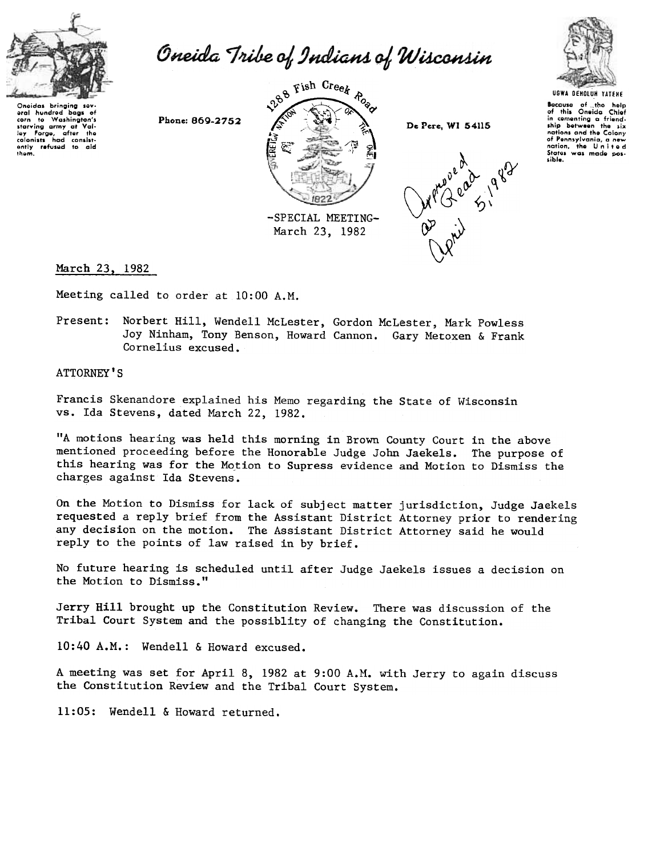

Oneida Tribe of Indians of Wisconsin

Oneidas bringing sev-<br>eral hundred bags of corn to Washington'<br>starving army at Val ley Forge, after the<br>colonists had consist-<br>ently refused to aid<br>them.

 $\theta$ <sup>8</sup>  $\overline{C}$  isn creek  $\theta$ ,'V '-, '~ ~~ 0,(' ~Q' ~~ ~;' L ,,~ -, , ~, ~ ~ "'\  $\mathbb{E} = \mathbb{E} \times \mathbb{I}$ 'i z: 앍<br>의 Phone: 869-2752  $\leftarrow$   $\leftarrow$   $\leftarrow$  De Pere, WI 54115  $\mathbb{E} \; \mathbb{Z}$ -SPECIAL MEETING-March 23, 1982





8ocauso of \_tl1o holp of this Oneida Chiof in comenting a friend<br>ship between the six nations and the Colony of Pennsylvania, a new<br>nation, the United States was made possible.

March 23. 1982

Meeting called to order at 10:00 A.M.

Present: Norbert Hill, Wendell McLester, Gordon McLester, Mark Powless Joy Ninham, Tony Benson, Howard Cannon. Gary Metoxen & Frank Cornelius excused.

ATTORNEY'S

Francis Skenandore explained his Memo regarding the State of Wisconsin vs. Ida Stevens, dated March 22, 1982.

"A motions hearing was held this morning in Brown County Court in the above mentioned proceeding before the Honorable Judge John Jaekels. The purpose of this hearing was for the Motion to Supress evidence and Motion to Dismiss the charges against Ida Stevens.

On the Motion to Dismiss for lack of subject matter jurisdiction, Judge Jaekels requested a reply brief from the Assistant District Attorney prior to rendering any decision on the motion. The Assistant District Attorney said he would reply to the points of law raised in by brief.

No future hearing is scheduled until after Judge Jaekels issues a decision on the Motion to Dismiss."

Jerry Hill brought up the Constitution Review. There was discussion of the Tribal Court System and the possiblity of changing the Constitution.

10:40 A.M.: Wendell & Howard excused.

A meeting was set for April 8, 1982 at 9:00 A.M. with Jerry to again discuss the Constitution Review and the Tribal Court System.

11:05: Wendell & Howard returned.